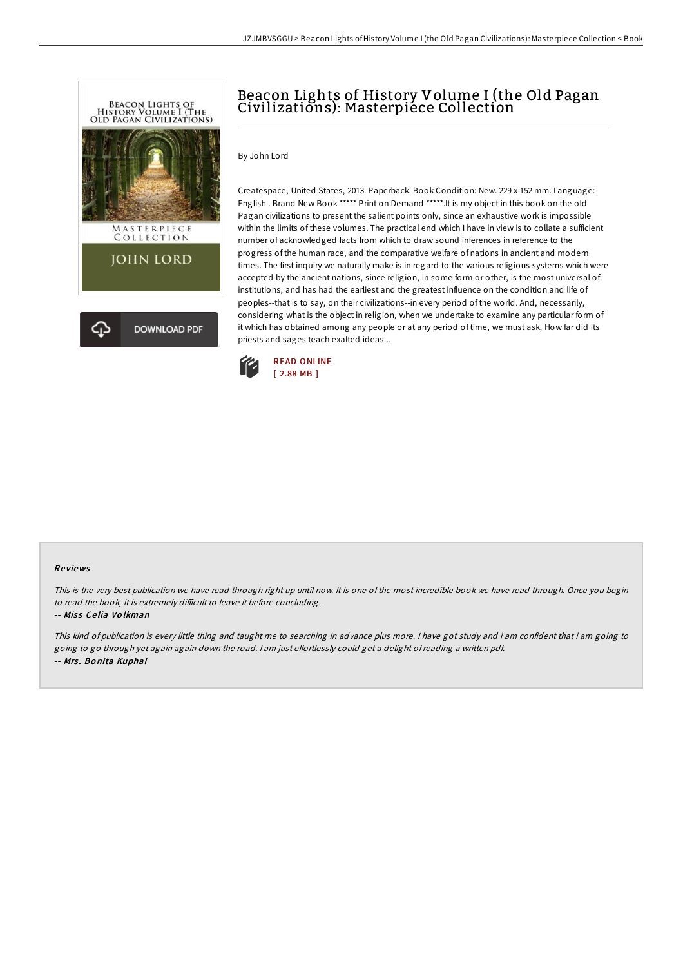

# Beacon Lights of History Volume I (the Old Pagan Civilizations): Masterpiece Collection

### By John Lord

Createspace, United States, 2013. Paperback. Book Condition: New. 229 x 152 mm. Language: English . Brand New Book \*\*\*\*\* Print on Demand \*\*\*\*\*.It is my object in this book on the old Pagan civilizations to present the salient points only, since an exhaustive work is impossible within the limits of these volumes. The practical end which I have in view is to collate a sufficient number of acknowledged facts from which to draw sound inferences in reference to the progress of the human race, and the comparative welfare of nations in ancient and modern times. The first inquiry we naturally make is in regard to the various religious systems which were accepted by the ancient nations, since religion, in some form or other, is the most universal of institutions, and has had the earliest and the greatest influence on the condition and life of peoples--that is to say, on their civilizations--in every period of the world. And, necessarily, considering what is the object in religion, when we undertake to examine any particular form of it which has obtained among any people or at any period of time, we must ask, How far did its priests and sages teach exalted ideas...



### Re views

This is the very best publication we have read through right up until now. It is one of the most incredible book we have read through. Once you begin to read the book, it is extremely difficult to leave it before concluding.

### -- Miss Celia Volkman

This kind of publication is every little thing and taught me to searching in advance plus more. <sup>I</sup> have got study and i am confident that i am going to going to go through yet again again down the road. I am just effortlessly could get a delight of reading a written pdf. -- Mrs. Bonita Kuphal